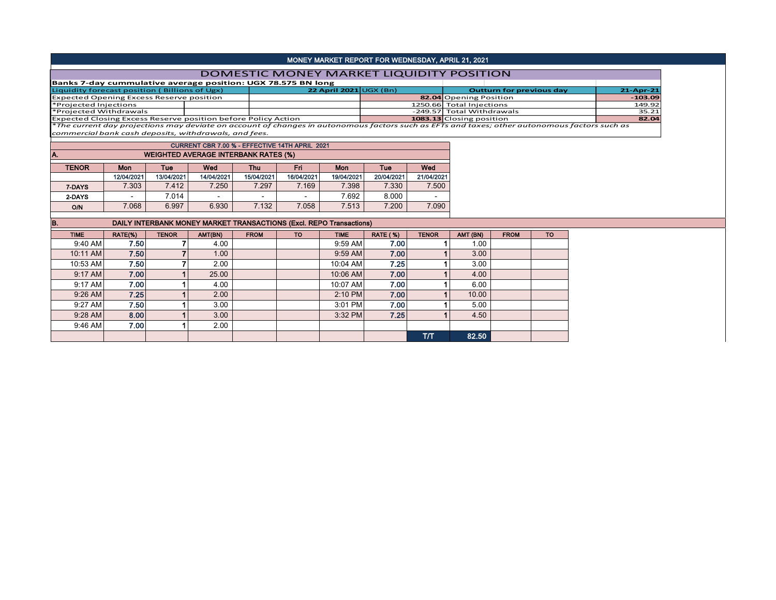## MONEY MARKET REPORT FOR WEDNESDAY, APRIL 21, 2021

## DOMESTIC MONEY MARKET LIQUIDITY POSITION

| Banks 7-day cummulative average position: UGX 78.575 BN long                                                                                 |  |                        |  |                           |                                 |              |  |  |  |
|----------------------------------------------------------------------------------------------------------------------------------------------|--|------------------------|--|---------------------------|---------------------------------|--------------|--|--|--|
| Liquidity forecast position (Billions of Ugx)                                                                                                |  | 22 April 2021 UGX (Bn) |  |                           | <b>Outturn for previous day</b> | $21$ -Apr-21 |  |  |  |
| <b>Expected Opening Excess Reserve position</b>                                                                                              |  |                        |  | 82.04 Opening Position    |                                 | $-103.09$    |  |  |  |
| *Projected Injections                                                                                                                        |  |                        |  | 1250.66 Total Injections  |                                 | 149.92       |  |  |  |
| *Projected Withdrawals                                                                                                                       |  |                        |  | -249.57 Total Withdrawals |                                 | 35.21        |  |  |  |
| Expected Closing Excess Reserve position before Policy Action                                                                                |  |                        |  | 1083.13 Closing position  |                                 | 82.04        |  |  |  |
| *The cussome day contact and considering as considered above as to currence footing such as FFTs and tourer ather customers footing and form |  |                        |  |                           |                                 |              |  |  |  |

\**The current day projections may deviate on account of changes in autonomous factors such as EFTs and taxes; other autonomous factors such as commercial bank cash deposits, withdrawals, and fees.*

| <b>CURRENT CBR 7.00 % - EFFECTIVE 14TH APRIL 2021</b> |                          |                                               |                          |            |            |            |            |                          |  |  |  |  |  |  |
|-------------------------------------------------------|--------------------------|-----------------------------------------------|--------------------------|------------|------------|------------|------------|--------------------------|--|--|--|--|--|--|
| <b>WEIGHTED AVERAGE INTERBANK RATES (%)</b><br>A.     |                          |                                               |                          |            |            |            |            |                          |  |  |  |  |  |  |
| <b>TENOR</b>                                          | <b>Mon</b>               | Wed<br>Wed<br>Fri<br>Mon<br>Tue<br>Tue<br>Thu |                          |            |            |            |            |                          |  |  |  |  |  |  |
|                                                       | 12/04/2021               | 13/04/2021                                    | 14/04/2021               | 15/04/2021 | 16/04/2021 | 19/04/2021 | 20/04/2021 | 21/04/2021               |  |  |  |  |  |  |
| 7-DAYS                                                | 7.303                    | 7.412                                         | 7.250                    | 7.297      | 7.169      | 7.398      | 7.330      | 7.500                    |  |  |  |  |  |  |
| 2-DAYS                                                | $\overline{\phantom{0}}$ | 7.014                                         | $\overline{\phantom{0}}$ |            | -          | 7.692      | 8.000      | $\overline{\phantom{0}}$ |  |  |  |  |  |  |
| O/N                                                   | 7.068                    | 6.997                                         | 6.930                    | 7.132      | 7.058      | 7.513      | 7.200      | 7.090                    |  |  |  |  |  |  |

| IB.         | DAILY INTERBANK MONEY MARKET TRANSACTIONS (Excl. REPO Transactions) |              |         |             |           |             |                 |              |          |             |           |  |  |  |
|-------------|---------------------------------------------------------------------|--------------|---------|-------------|-----------|-------------|-----------------|--------------|----------|-------------|-----------|--|--|--|
| <b>TIME</b> | RATE(%)                                                             | <b>TENOR</b> | AMT(BN) | <b>FROM</b> | <b>TO</b> | <b>TIME</b> | <b>RATE (%)</b> | <b>TENOR</b> | AMT (BN) | <b>FROM</b> | <b>TO</b> |  |  |  |
| 9:40 AM     | 7.50                                                                |              | 4.00    |             |           | $9:59$ AM   | 7.00            |              | 1.00     |             |           |  |  |  |
| 10:11 AM    | 7.50                                                                |              | 1.00    |             |           | 9:59 AM     | 7.00            |              | 3.00     |             |           |  |  |  |
| 10:53 AM    | 7.50                                                                |              | 2.00    |             |           | 10:04 AM    | 7.25            |              | 3.00     |             |           |  |  |  |
| 9:17 AM     | 7.00                                                                |              | 25.00   |             |           | 10:06 AM    | 7.00            |              | 4.00     |             |           |  |  |  |
| 9:17 AM     | 7.00                                                                |              | 4.00    |             |           | 10:07 AM    | 7.00            |              | 6.00     |             |           |  |  |  |
| $9:26$ AM   | 7.25                                                                |              | 2.00    |             |           | 2:10 PM     | 7.00            |              | 10.00    |             |           |  |  |  |
| $9:27$ AM   | 7.50                                                                |              | 3.00    |             |           | 3:01 PM     | 7.00            |              | 5.00     |             |           |  |  |  |
| $9:28$ AM   | 8.00                                                                |              | 3.00    |             |           | 3:32 PM     | 7.25            |              | 4.50     |             |           |  |  |  |
| 9:46 AM     | 7.00                                                                |              | 2.00    |             |           |             |                 |              |          |             |           |  |  |  |
|             |                                                                     |              |         |             |           |             |                 | T/T          | 82.50    |             |           |  |  |  |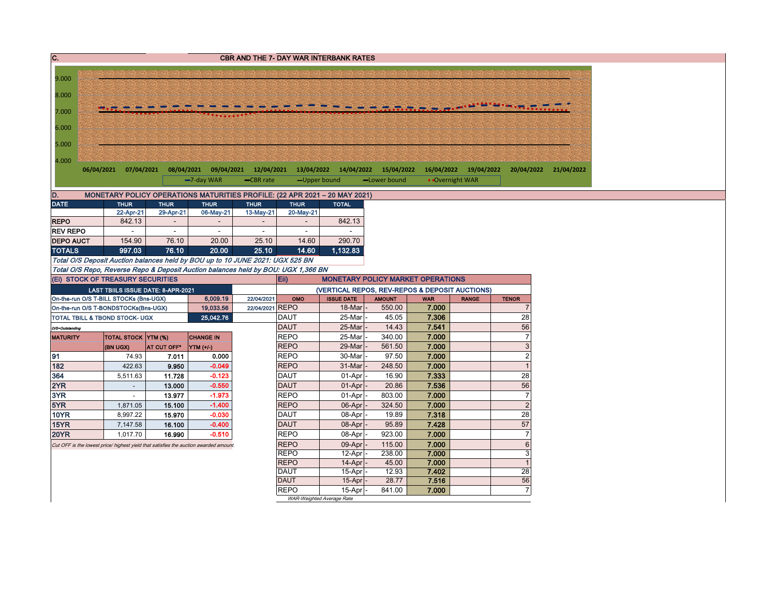| 9.000<br>8.000<br>7.000<br>6.000<br>5.000<br>4.000<br>$-7$ -day WAR<br>• Overnight WAR<br>-CBR rate<br>-Upper bound<br>-Lower bound<br>D.<br>MONETARY POLICY OPERATIONS MATURITIES PROFILE: (22 APR 2021 - 20 MAY 2021)<br><b>DATE</b><br><b>THUR</b><br><b>THUR</b><br><b>THUR</b><br><b>THUR</b><br><b>THUR</b><br><b>TOTAL</b><br>22-Apr-21<br>29-Apr-21<br>06-May-21<br>13-May-21<br>20-May-21<br>842.13<br><b>REPO</b><br>842.13<br><b>REV REPO</b><br>$\sim$<br>$\sim$<br>$\sim$<br>$\omega$<br><b>DEPO AUCT</b><br>154.90<br>76.10<br>20.00<br>25.10<br>14.60<br>290.70<br><b>TOTALS</b><br>997.03<br>76.10<br>20.00<br>25.10<br>14.60<br>1,132.83<br>Total O/S Deposit Auction balances held by BOU up to 10 JUNE 2021: UGX 525 BN<br>Total O/S Repo, Reverse Repo & Deposit Auction balances held by BOU: UGX 1,366 BN<br>(Ei) STOCK OF TREASURY SECURITIES<br>Eii)<br><b>MONETARY POLICY MARKET OPERATIONS</b><br>LAST TBIILS ISSUE DATE: 8-APR-2021<br>(VERTICAL REPOS, REV-REPOS & DEPOSIT AUCTIONS)<br>On-the-run O/S T-BILL STOCKs (Bns-UGX)<br>6,009.19<br>22/04/2021<br><b>ISSUE DATE</b><br><b>AMOUNT</b><br><b>WAR</b><br>OMO<br><b>RANGE</b><br><b>TENOR</b><br>22/04/2021 REPO<br>7.000<br>18-Mar<br>550.00<br>19,033.56<br>$\overline{7}$<br>On-the-run O/S T-BONDSTOCKs(Bns-UGX)<br>7.306<br>28<br>25,042.76<br><b>DAUT</b><br>25-Mar<br>45.05<br>TOTAL TBILL & TBOND STOCK- UGX<br>56<br><b>DAUT</b><br>25-Mar<br>14.43<br>7.541<br>O/S=Outstanding<br>$\overline{7}$<br><b>REPO</b><br>25-Mar<br>7.000<br>340.00<br><b>MATURITY</b><br>TOTAL STOCK YTM (%)<br><b>CHANGE IN</b><br>$\ensuremath{\mathsf{3}}$<br><b>REPO</b><br>29-Mar<br>7.000<br>561.50<br>(BN UGX)<br>AT CUT OFF*<br>YTM (+/-)<br>$\sqrt{2}$<br>91<br>0.000<br><b>REPO</b><br>30-Mar<br>97.50<br>7.000<br>74.93<br>7.011<br>182<br><b>REPO</b><br>$\overline{1}$<br>$-0.049$<br>31-Mar<br>248.50<br>7.000<br>422.63<br>9.950<br>28<br>364<br>$-0.123$<br><b>DAUT</b><br>7.333<br>11.728<br>01-Apr<br>16.90<br>5,511.63<br>2YR<br>56<br>$-0.550$<br><b>DAUT</b><br>7.536<br>13.000<br>01-Apr<br>20.86<br>$\sim$<br>$\overline{7}$<br>3YR<br>$-1.973$<br><b>REPO</b><br>01-Apr<br>803.00<br>7.000<br>13.977<br>$\sim$<br>$\overline{c}$<br>5YR<br><b>REPO</b><br>7.000<br>15.100<br>$-1.400$<br>06-Apr<br>324.50<br>1,871.05<br>28<br><b>DAUT</b><br>10YR<br>8,997.22<br>$-0.030$<br>08-Apr<br>19.89<br>7.318<br>15.970<br>57<br><b>15YR</b><br>$-0.400$<br><b>DAUT</b><br>7.428<br>16.100<br>08-Apr<br>95.89<br>7,147.58<br>$\overline{7}$<br><b>REPO</b><br><b>20YR</b><br>$-0.510$<br>08-Apr<br>923.00<br>7.000<br>16.990<br>1,017.70<br>$\,6\,$<br><b>REPO</b><br>09-Apr<br>115.00<br>7.000<br>Cut OFF is the lowest price/ highest yield that satisfies the auction awarded amount.<br>$\overline{3}$<br><b>REPO</b><br>7.000<br>238.00<br>12-Apr<br><b>REPO</b><br>7.000<br>$\mathbf{1}$<br>$14-Apr$<br>45.00 |
|------------------------------------------------------------------------------------------------------------------------------------------------------------------------------------------------------------------------------------------------------------------------------------------------------------------------------------------------------------------------------------------------------------------------------------------------------------------------------------------------------------------------------------------------------------------------------------------------------------------------------------------------------------------------------------------------------------------------------------------------------------------------------------------------------------------------------------------------------------------------------------------------------------------------------------------------------------------------------------------------------------------------------------------------------------------------------------------------------------------------------------------------------------------------------------------------------------------------------------------------------------------------------------------------------------------------------------------------------------------------------------------------------------------------------------------------------------------------------------------------------------------------------------------------------------------------------------------------------------------------------------------------------------------------------------------------------------------------------------------------------------------------------------------------------------------------------------------------------------------------------------------------------------------------------------------------------------------------------------------------------------------------------------------------------------------------------------------------------------------------------------------------------------------------------------------------------------------------------------------------------------------------------------------------------------------------------------------------------------------------------------------------------------------------------------------------------------------------------------------------------------------------------------------------------------------------------------------------------------------------------------------------------------------------------------------------------------------------------------------------------------------------------------------------------------------------------------------------------------------------------------------------------------|
| 06/04/2021 07/04/2021 08/04/2021 09/04/2021 12/04/2021 13/04/2022 14/04/2022 15/04/2022 16/04/2022 19/04/2022 20/04/2022 21/04/2022                                                                                                                                                                                                                                                                                                                                                                                                                                                                                                                                                                                                                                                                                                                                                                                                                                                                                                                                                                                                                                                                                                                                                                                                                                                                                                                                                                                                                                                                                                                                                                                                                                                                                                                                                                                                                                                                                                                                                                                                                                                                                                                                                                                                                                                                                                                                                                                                                                                                                                                                                                                                                                                                                                                                                                        |
|                                                                                                                                                                                                                                                                                                                                                                                                                                                                                                                                                                                                                                                                                                                                                                                                                                                                                                                                                                                                                                                                                                                                                                                                                                                                                                                                                                                                                                                                                                                                                                                                                                                                                                                                                                                                                                                                                                                                                                                                                                                                                                                                                                                                                                                                                                                                                                                                                                                                                                                                                                                                                                                                                                                                                                                                                                                                                                            |
|                                                                                                                                                                                                                                                                                                                                                                                                                                                                                                                                                                                                                                                                                                                                                                                                                                                                                                                                                                                                                                                                                                                                                                                                                                                                                                                                                                                                                                                                                                                                                                                                                                                                                                                                                                                                                                                                                                                                                                                                                                                                                                                                                                                                                                                                                                                                                                                                                                                                                                                                                                                                                                                                                                                                                                                                                                                                                                            |
|                                                                                                                                                                                                                                                                                                                                                                                                                                                                                                                                                                                                                                                                                                                                                                                                                                                                                                                                                                                                                                                                                                                                                                                                                                                                                                                                                                                                                                                                                                                                                                                                                                                                                                                                                                                                                                                                                                                                                                                                                                                                                                                                                                                                                                                                                                                                                                                                                                                                                                                                                                                                                                                                                                                                                                                                                                                                                                            |
|                                                                                                                                                                                                                                                                                                                                                                                                                                                                                                                                                                                                                                                                                                                                                                                                                                                                                                                                                                                                                                                                                                                                                                                                                                                                                                                                                                                                                                                                                                                                                                                                                                                                                                                                                                                                                                                                                                                                                                                                                                                                                                                                                                                                                                                                                                                                                                                                                                                                                                                                                                                                                                                                                                                                                                                                                                                                                                            |
|                                                                                                                                                                                                                                                                                                                                                                                                                                                                                                                                                                                                                                                                                                                                                                                                                                                                                                                                                                                                                                                                                                                                                                                                                                                                                                                                                                                                                                                                                                                                                                                                                                                                                                                                                                                                                                                                                                                                                                                                                                                                                                                                                                                                                                                                                                                                                                                                                                                                                                                                                                                                                                                                                                                                                                                                                                                                                                            |
|                                                                                                                                                                                                                                                                                                                                                                                                                                                                                                                                                                                                                                                                                                                                                                                                                                                                                                                                                                                                                                                                                                                                                                                                                                                                                                                                                                                                                                                                                                                                                                                                                                                                                                                                                                                                                                                                                                                                                                                                                                                                                                                                                                                                                                                                                                                                                                                                                                                                                                                                                                                                                                                                                                                                                                                                                                                                                                            |
|                                                                                                                                                                                                                                                                                                                                                                                                                                                                                                                                                                                                                                                                                                                                                                                                                                                                                                                                                                                                                                                                                                                                                                                                                                                                                                                                                                                                                                                                                                                                                                                                                                                                                                                                                                                                                                                                                                                                                                                                                                                                                                                                                                                                                                                                                                                                                                                                                                                                                                                                                                                                                                                                                                                                                                                                                                                                                                            |
|                                                                                                                                                                                                                                                                                                                                                                                                                                                                                                                                                                                                                                                                                                                                                                                                                                                                                                                                                                                                                                                                                                                                                                                                                                                                                                                                                                                                                                                                                                                                                                                                                                                                                                                                                                                                                                                                                                                                                                                                                                                                                                                                                                                                                                                                                                                                                                                                                                                                                                                                                                                                                                                                                                                                                                                                                                                                                                            |
|                                                                                                                                                                                                                                                                                                                                                                                                                                                                                                                                                                                                                                                                                                                                                                                                                                                                                                                                                                                                                                                                                                                                                                                                                                                                                                                                                                                                                                                                                                                                                                                                                                                                                                                                                                                                                                                                                                                                                                                                                                                                                                                                                                                                                                                                                                                                                                                                                                                                                                                                                                                                                                                                                                                                                                                                                                                                                                            |
|                                                                                                                                                                                                                                                                                                                                                                                                                                                                                                                                                                                                                                                                                                                                                                                                                                                                                                                                                                                                                                                                                                                                                                                                                                                                                                                                                                                                                                                                                                                                                                                                                                                                                                                                                                                                                                                                                                                                                                                                                                                                                                                                                                                                                                                                                                                                                                                                                                                                                                                                                                                                                                                                                                                                                                                                                                                                                                            |
|                                                                                                                                                                                                                                                                                                                                                                                                                                                                                                                                                                                                                                                                                                                                                                                                                                                                                                                                                                                                                                                                                                                                                                                                                                                                                                                                                                                                                                                                                                                                                                                                                                                                                                                                                                                                                                                                                                                                                                                                                                                                                                                                                                                                                                                                                                                                                                                                                                                                                                                                                                                                                                                                                                                                                                                                                                                                                                            |
|                                                                                                                                                                                                                                                                                                                                                                                                                                                                                                                                                                                                                                                                                                                                                                                                                                                                                                                                                                                                                                                                                                                                                                                                                                                                                                                                                                                                                                                                                                                                                                                                                                                                                                                                                                                                                                                                                                                                                                                                                                                                                                                                                                                                                                                                                                                                                                                                                                                                                                                                                                                                                                                                                                                                                                                                                                                                                                            |
|                                                                                                                                                                                                                                                                                                                                                                                                                                                                                                                                                                                                                                                                                                                                                                                                                                                                                                                                                                                                                                                                                                                                                                                                                                                                                                                                                                                                                                                                                                                                                                                                                                                                                                                                                                                                                                                                                                                                                                                                                                                                                                                                                                                                                                                                                                                                                                                                                                                                                                                                                                                                                                                                                                                                                                                                                                                                                                            |
|                                                                                                                                                                                                                                                                                                                                                                                                                                                                                                                                                                                                                                                                                                                                                                                                                                                                                                                                                                                                                                                                                                                                                                                                                                                                                                                                                                                                                                                                                                                                                                                                                                                                                                                                                                                                                                                                                                                                                                                                                                                                                                                                                                                                                                                                                                                                                                                                                                                                                                                                                                                                                                                                                                                                                                                                                                                                                                            |
|                                                                                                                                                                                                                                                                                                                                                                                                                                                                                                                                                                                                                                                                                                                                                                                                                                                                                                                                                                                                                                                                                                                                                                                                                                                                                                                                                                                                                                                                                                                                                                                                                                                                                                                                                                                                                                                                                                                                                                                                                                                                                                                                                                                                                                                                                                                                                                                                                                                                                                                                                                                                                                                                                                                                                                                                                                                                                                            |
|                                                                                                                                                                                                                                                                                                                                                                                                                                                                                                                                                                                                                                                                                                                                                                                                                                                                                                                                                                                                                                                                                                                                                                                                                                                                                                                                                                                                                                                                                                                                                                                                                                                                                                                                                                                                                                                                                                                                                                                                                                                                                                                                                                                                                                                                                                                                                                                                                                                                                                                                                                                                                                                                                                                                                                                                                                                                                                            |
|                                                                                                                                                                                                                                                                                                                                                                                                                                                                                                                                                                                                                                                                                                                                                                                                                                                                                                                                                                                                                                                                                                                                                                                                                                                                                                                                                                                                                                                                                                                                                                                                                                                                                                                                                                                                                                                                                                                                                                                                                                                                                                                                                                                                                                                                                                                                                                                                                                                                                                                                                                                                                                                                                                                                                                                                                                                                                                            |
|                                                                                                                                                                                                                                                                                                                                                                                                                                                                                                                                                                                                                                                                                                                                                                                                                                                                                                                                                                                                                                                                                                                                                                                                                                                                                                                                                                                                                                                                                                                                                                                                                                                                                                                                                                                                                                                                                                                                                                                                                                                                                                                                                                                                                                                                                                                                                                                                                                                                                                                                                                                                                                                                                                                                                                                                                                                                                                            |
|                                                                                                                                                                                                                                                                                                                                                                                                                                                                                                                                                                                                                                                                                                                                                                                                                                                                                                                                                                                                                                                                                                                                                                                                                                                                                                                                                                                                                                                                                                                                                                                                                                                                                                                                                                                                                                                                                                                                                                                                                                                                                                                                                                                                                                                                                                                                                                                                                                                                                                                                                                                                                                                                                                                                                                                                                                                                                                            |
|                                                                                                                                                                                                                                                                                                                                                                                                                                                                                                                                                                                                                                                                                                                                                                                                                                                                                                                                                                                                                                                                                                                                                                                                                                                                                                                                                                                                                                                                                                                                                                                                                                                                                                                                                                                                                                                                                                                                                                                                                                                                                                                                                                                                                                                                                                                                                                                                                                                                                                                                                                                                                                                                                                                                                                                                                                                                                                            |
|                                                                                                                                                                                                                                                                                                                                                                                                                                                                                                                                                                                                                                                                                                                                                                                                                                                                                                                                                                                                                                                                                                                                                                                                                                                                                                                                                                                                                                                                                                                                                                                                                                                                                                                                                                                                                                                                                                                                                                                                                                                                                                                                                                                                                                                                                                                                                                                                                                                                                                                                                                                                                                                                                                                                                                                                                                                                                                            |
|                                                                                                                                                                                                                                                                                                                                                                                                                                                                                                                                                                                                                                                                                                                                                                                                                                                                                                                                                                                                                                                                                                                                                                                                                                                                                                                                                                                                                                                                                                                                                                                                                                                                                                                                                                                                                                                                                                                                                                                                                                                                                                                                                                                                                                                                                                                                                                                                                                                                                                                                                                                                                                                                                                                                                                                                                                                                                                            |
|                                                                                                                                                                                                                                                                                                                                                                                                                                                                                                                                                                                                                                                                                                                                                                                                                                                                                                                                                                                                                                                                                                                                                                                                                                                                                                                                                                                                                                                                                                                                                                                                                                                                                                                                                                                                                                                                                                                                                                                                                                                                                                                                                                                                                                                                                                                                                                                                                                                                                                                                                                                                                                                                                                                                                                                                                                                                                                            |
|                                                                                                                                                                                                                                                                                                                                                                                                                                                                                                                                                                                                                                                                                                                                                                                                                                                                                                                                                                                                                                                                                                                                                                                                                                                                                                                                                                                                                                                                                                                                                                                                                                                                                                                                                                                                                                                                                                                                                                                                                                                                                                                                                                                                                                                                                                                                                                                                                                                                                                                                                                                                                                                                                                                                                                                                                                                                                                            |
|                                                                                                                                                                                                                                                                                                                                                                                                                                                                                                                                                                                                                                                                                                                                                                                                                                                                                                                                                                                                                                                                                                                                                                                                                                                                                                                                                                                                                                                                                                                                                                                                                                                                                                                                                                                                                                                                                                                                                                                                                                                                                                                                                                                                                                                                                                                                                                                                                                                                                                                                                                                                                                                                                                                                                                                                                                                                                                            |
|                                                                                                                                                                                                                                                                                                                                                                                                                                                                                                                                                                                                                                                                                                                                                                                                                                                                                                                                                                                                                                                                                                                                                                                                                                                                                                                                                                                                                                                                                                                                                                                                                                                                                                                                                                                                                                                                                                                                                                                                                                                                                                                                                                                                                                                                                                                                                                                                                                                                                                                                                                                                                                                                                                                                                                                                                                                                                                            |
|                                                                                                                                                                                                                                                                                                                                                                                                                                                                                                                                                                                                                                                                                                                                                                                                                                                                                                                                                                                                                                                                                                                                                                                                                                                                                                                                                                                                                                                                                                                                                                                                                                                                                                                                                                                                                                                                                                                                                                                                                                                                                                                                                                                                                                                                                                                                                                                                                                                                                                                                                                                                                                                                                                                                                                                                                                                                                                            |
|                                                                                                                                                                                                                                                                                                                                                                                                                                                                                                                                                                                                                                                                                                                                                                                                                                                                                                                                                                                                                                                                                                                                                                                                                                                                                                                                                                                                                                                                                                                                                                                                                                                                                                                                                                                                                                                                                                                                                                                                                                                                                                                                                                                                                                                                                                                                                                                                                                                                                                                                                                                                                                                                                                                                                                                                                                                                                                            |
|                                                                                                                                                                                                                                                                                                                                                                                                                                                                                                                                                                                                                                                                                                                                                                                                                                                                                                                                                                                                                                                                                                                                                                                                                                                                                                                                                                                                                                                                                                                                                                                                                                                                                                                                                                                                                                                                                                                                                                                                                                                                                                                                                                                                                                                                                                                                                                                                                                                                                                                                                                                                                                                                                                                                                                                                                                                                                                            |
|                                                                                                                                                                                                                                                                                                                                                                                                                                                                                                                                                                                                                                                                                                                                                                                                                                                                                                                                                                                                                                                                                                                                                                                                                                                                                                                                                                                                                                                                                                                                                                                                                                                                                                                                                                                                                                                                                                                                                                                                                                                                                                                                                                                                                                                                                                                                                                                                                                                                                                                                                                                                                                                                                                                                                                                                                                                                                                            |
|                                                                                                                                                                                                                                                                                                                                                                                                                                                                                                                                                                                                                                                                                                                                                                                                                                                                                                                                                                                                                                                                                                                                                                                                                                                                                                                                                                                                                                                                                                                                                                                                                                                                                                                                                                                                                                                                                                                                                                                                                                                                                                                                                                                                                                                                                                                                                                                                                                                                                                                                                                                                                                                                                                                                                                                                                                                                                                            |
|                                                                                                                                                                                                                                                                                                                                                                                                                                                                                                                                                                                                                                                                                                                                                                                                                                                                                                                                                                                                                                                                                                                                                                                                                                                                                                                                                                                                                                                                                                                                                                                                                                                                                                                                                                                                                                                                                                                                                                                                                                                                                                                                                                                                                                                                                                                                                                                                                                                                                                                                                                                                                                                                                                                                                                                                                                                                                                            |
|                                                                                                                                                                                                                                                                                                                                                                                                                                                                                                                                                                                                                                                                                                                                                                                                                                                                                                                                                                                                                                                                                                                                                                                                                                                                                                                                                                                                                                                                                                                                                                                                                                                                                                                                                                                                                                                                                                                                                                                                                                                                                                                                                                                                                                                                                                                                                                                                                                                                                                                                                                                                                                                                                                                                                                                                                                                                                                            |
|                                                                                                                                                                                                                                                                                                                                                                                                                                                                                                                                                                                                                                                                                                                                                                                                                                                                                                                                                                                                                                                                                                                                                                                                                                                                                                                                                                                                                                                                                                                                                                                                                                                                                                                                                                                                                                                                                                                                                                                                                                                                                                                                                                                                                                                                                                                                                                                                                                                                                                                                                                                                                                                                                                                                                                                                                                                                                                            |
|                                                                                                                                                                                                                                                                                                                                                                                                                                                                                                                                                                                                                                                                                                                                                                                                                                                                                                                                                                                                                                                                                                                                                                                                                                                                                                                                                                                                                                                                                                                                                                                                                                                                                                                                                                                                                                                                                                                                                                                                                                                                                                                                                                                                                                                                                                                                                                                                                                                                                                                                                                                                                                                                                                                                                                                                                                                                                                            |
|                                                                                                                                                                                                                                                                                                                                                                                                                                                                                                                                                                                                                                                                                                                                                                                                                                                                                                                                                                                                                                                                                                                                                                                                                                                                                                                                                                                                                                                                                                                                                                                                                                                                                                                                                                                                                                                                                                                                                                                                                                                                                                                                                                                                                                                                                                                                                                                                                                                                                                                                                                                                                                                                                                                                                                                                                                                                                                            |
|                                                                                                                                                                                                                                                                                                                                                                                                                                                                                                                                                                                                                                                                                                                                                                                                                                                                                                                                                                                                                                                                                                                                                                                                                                                                                                                                                                                                                                                                                                                                                                                                                                                                                                                                                                                                                                                                                                                                                                                                                                                                                                                                                                                                                                                                                                                                                                                                                                                                                                                                                                                                                                                                                                                                                                                                                                                                                                            |
| $\overline{28}$<br>DAUT<br>7.402<br>15-Apr<br>12.93<br>56<br><b>DAUT</b><br>7.516<br>15-Apr<br>28.77                                                                                                                                                                                                                                                                                                                                                                                                                                                                                                                                                                                                                                                                                                                                                                                                                                                                                                                                                                                                                                                                                                                                                                                                                                                                                                                                                                                                                                                                                                                                                                                                                                                                                                                                                                                                                                                                                                                                                                                                                                                                                                                                                                                                                                                                                                                                                                                                                                                                                                                                                                                                                                                                                                                                                                                                       |
| $\overline{7}$<br><b>REPO</b><br>$15-Apr$ .<br>7.000<br>841.00                                                                                                                                                                                                                                                                                                                                                                                                                                                                                                                                                                                                                                                                                                                                                                                                                                                                                                                                                                                                                                                                                                                                                                                                                                                                                                                                                                                                                                                                                                                                                                                                                                                                                                                                                                                                                                                                                                                                                                                                                                                                                                                                                                                                                                                                                                                                                                                                                                                                                                                                                                                                                                                                                                                                                                                                                                             |
| WAR-Weighted Average Rate                                                                                                                                                                                                                                                                                                                                                                                                                                                                                                                                                                                                                                                                                                                                                                                                                                                                                                                                                                                                                                                                                                                                                                                                                                                                                                                                                                                                                                                                                                                                                                                                                                                                                                                                                                                                                                                                                                                                                                                                                                                                                                                                                                                                                                                                                                                                                                                                                                                                                                                                                                                                                                                                                                                                                                                                                                                                                  |